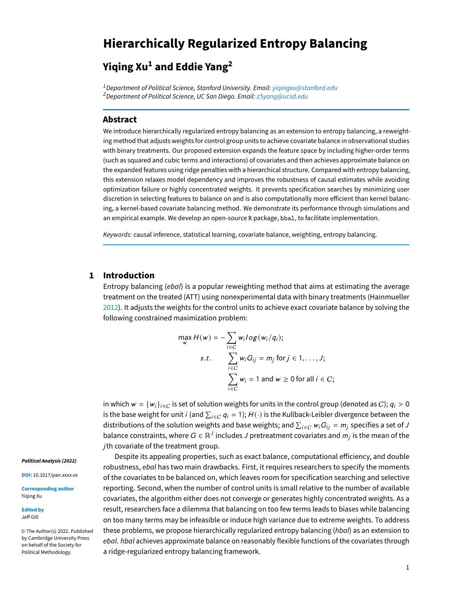# **Hierarchically Regularized Entropy Balancing**

# **Yiqing Xu<sup>1</sup> and Eddie Yang<sup>2</sup>**

<sup>1</sup> Department of Political Science, Stanford University. Email: yigingxu@stanford.edu <sup>2</sup> Department of Political Science, UC San Diego. Email: z5[yang@ucsd.edu](z5yang@ucsd.edu)

#### **Abstract**

We introduce hierarchically regularized entropy balancing as an extension to entropy balancing, a reweighting method that adjusts weights for control group units to achieve covariate balance in observational studies with binary treatments. Our proposed extension expands the feature space by including higher-order terms (such as squared and cubic terms and interactions) of covariates and then achieves approximate balance on the expanded features using ridge penalties with a hierarchical structure. Compared with entropy balancing, this extension relaxes model dependency and improves the robustness of causal estimates while avoiding optimization failure or highly concentrated weights. It prevents specification searches by minimizing user discretion in selecting features to balance on and is also computationally more efficient than kernel balancing, a kernel-based covariate balancing method. We demonstrate its performance through simulations and an empirical example. We develop an open-source R package, hbal, to facilitate implementation.

Keywords: causal inference, statistical learning, covariate balance, weighting, entropy balancing.

### **1 Introduction**

Entropy balancing (ebal) is a popular reweighting method that aims at estimating the average treatment on the treated (ATT) using nonexperimental data with binary treatments (Hainmueller [2012\)](#page-6-0). It adjusts the weights for the control units to achieve exact covariate balance by solving the following constrained maximization problem:

$$
\max_{w} H(w) = -\sum_{i \in C} w_i \log(w_i/q_i);
$$
  
s.t. 
$$
\sum_{i \in C} w_i G_{ij} = m_j \text{ for } j \in 1, ..., J;
$$

$$
\sum_{i \in C} w_i = 1 \text{ and } w \ge 0 \text{ for all } i \in C;
$$

in which  $w = \{w_i\}_{i \in C}$  is set of solution weights for units in the control group (denoted as C);  $q_i > 0$ is the base weight for unit  $i$  (and  $\sum_{i\in C}q_i=1;$   $H(\cdot)$  is the Kullback-Leibler divergence between the distributions of the solution weights and base weights; and  $\sum_{i\in C}w_iG_{ij}=m_j$  specifies a set of  $J$ balance constraints, where  $G \in \mathbb{R}^J$  includes  $J$  pretreatment covariates and  $m_j$  is the mean of the jth covariate of the treatment group.

Despite its appealing properties, such as exact balance, computational efficiency, and double robustness, ebal has two main drawbacks. First, it requires researchers to specify the moments of the covariates to be balanced on, which leaves room for specification searching and selective reporting. Second, when the number of control units is small relative to the number of available covariates, the algorithm either does not converge or generates highly concentrated weights. As a result, researchers face a dilemma that balancing on too few terms leads to biases while balancing on too many terms may be infeasible or induce high variance due to extreme weights. To address these problems, we propose hierarchically regularized entropy balancing (hbal) as an extension to ebal. hbal achieves approximate balance on reasonably flexible functions of the covariates through a ridge-regularized entropy balancing framework.

#### **Political Analysis (2022)**

**DOI:** 10.1017/pan.xxxx.xx

**Corresponding author** Yiqing Xu

**Edited by** Jeff Gill

© The Author(s) 2022. Published by Cambridge University Press on behalf of the Society for Political Methodology.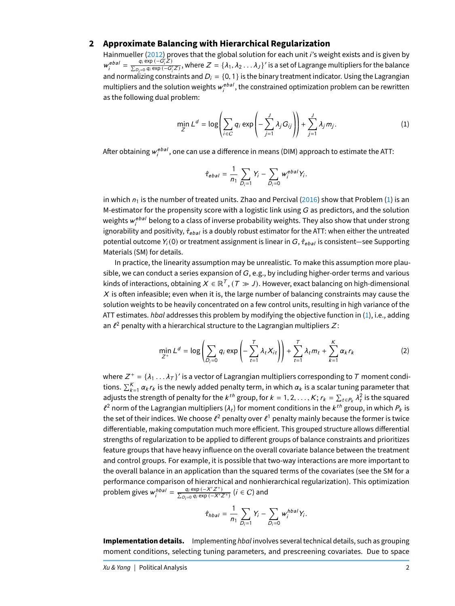## **2 Approximate Balancing with Hierarchical Regularization**

Hainmueller [\(2012\)](#page-6-0) proves that the global solution for each unit *i's* weight exists and is given by  $w_i^{ebal} = \frac{q_i \exp{(-G_i'Z)}}{\sum_{D_i=0} q_i \exp{(-G_i'Z)}}$  $\frac{q_i \exp(-G_i Z)}{\sum_{D_i=0} q_i \exp(-G_i' Z)}$ , where  $Z = \{\lambda_1, \lambda_2 \dots \lambda_J\}'$  is a set of Lagrange multipliers for the balance and normalizing constraints and  $D_i = \{0, 1\}$  is the binary treatment indicator. Using the Lagrangian multipliers and the solution weights  $w_{i}^{ebal}$ , the constrained optimization problem can be rewritten as the following dual problem:

<span id="page-1-0"></span>
$$
\min_{Z} L^{d} = \log \left( \sum_{i \in C} q_{i} \exp \left( - \sum_{j=1}^{J} \lambda_{j} G_{ij} \right) \right) + \sum_{j=1}^{J} \lambda_{j} m_{j}.
$$
 (1)

After obtaining  $\bm{{w}}_i^{ebal},$  one can use a difference in means (DIM) approach to estimate the ATT:

$$
\hat{\tau}_{ebal} = \frac{1}{n_1} \sum_{D_i=1} Y_i - \sum_{D_i=0} w_i^{ebal} Y_i.
$$

in which  $n_1$  is the number of treated units. Zhao and Percival [\(2016\)](#page-7-0) show that Problem [\(1\)](#page-1-0) is an M-estimator for the propensity score with a logistic link using  $G$  as predictors, and the solution weights  $\bm{{\mathsf w}}_i^{e b a l}$  belong to a class of inverse probability weights. They also show that under strong ignorability and positivity,  $\hat{\tau}_{ebal}$  is a doubly robust estimator for the ATT: when either the untreated potential outcome  $Y_i(0)$  or treatment assignment is linear in  $G$ ,  $\hat{\tau}_{ebal}$  is consistent—see Supporting Materials (SM) for details.

In practice, the linearity assumption may be unrealistic. To make this assumption more plausible, we can conduct a series expansion of  $G$ , e.g., by including higher-order terms and various kinds of interactions, obtaining  $X\in\mathbb{R}^7$  ,  $(\mathcal{T}\gg J)$ . However, exact balancing on high-dimensional  $X$  is often infeasible; even when it is, the large number of balancing constraints may cause the solution weights to be heavily concentrated on a few control units, resulting in high variance of the ATT estimates. hbal addresses this problem by modifying the objective function in  $(1)$ , i.e., adding an  $\ell^2$  penalty with a hierarchical structure to the Lagrangian multipliers  $Z$  :

$$
\min_{Z^+} L^d = \log \left( \sum_{D_i=0} q_i \exp \left( - \sum_{t=1}^T \lambda_t X_{it} \right) \right) + \sum_{t=1}^T \lambda_t m_t + \sum_{k=1}^K \alpha_k r_k \tag{2}
$$

where  $Z^+ = \{\lambda_1 \dots \lambda_T\}$ ' is a vector of Lagrangian multipliers corresponding to T moment condi-<br>tions  $\Sigma^K$ , we are in the noulused ded nonelly term, in which are in a scalar tuning normates that tions.  $\sum_{k=1}^K \alpha_k r_k$  is the newly added penalty term, in which  $\alpha_k$  is a scalar tuning parameter that adjusts the strength of penalty for the  $k^{th}$  group, for  $k = 1, 2, ..., K$ ;  $r_k = \sum_{t \in P_k} \lambda_t^2$  is the squared  $\ell^2$  norm of the Lagrangian multipliers (1) for moment conditions in the *Lth group* in which *P* is  $\ell^2$  norm of the Lagrangian multipliers ( $\lambda_t$ ) for moment conditions in the  $k^{th}$  group, in which  $P_k$  is the set of their indices. We choose  $\ell^2$  penalty over  $\ell^1$  penalty mainly because the former is twice differentiable, making computation much more efficient. This grouped structure allows differential strengths of regularization to be applied to different groups of balance constraints and prioritizes feature groups that have heavy influence on the overall covariate balance between the treatment and control groups. For example, it is possible that two-way interactions are more important to the overall balance in an application than the squared terms of the covariates (see the SM for a performance comparison of hierarchical and nonhierarchical regularization). This optimization problem gives  $w_i^{hbaI} = \frac{q_i \exp{(-X'Z^+)}}{\sum_{D_i=0} q_i \exp{(-X'Z^+)}}$  $\frac{q_i \exp(-X'Z^{-i})}{\sum_{D_i=0} q_i \exp(-X'Z^{+})}$  (*i* ∈ *C*) and

$$
\hat{\tau}_{hbal} = \frac{1}{n_1} \sum_{D_i=1} Y_i - \sum_{D_i=0} w_i^{hbal} Y_i.
$$

**Implementation details.** Implementing hbal involves several technical details, such as grouping moment conditions, selecting tuning parameters, and prescreening covariates. Due to space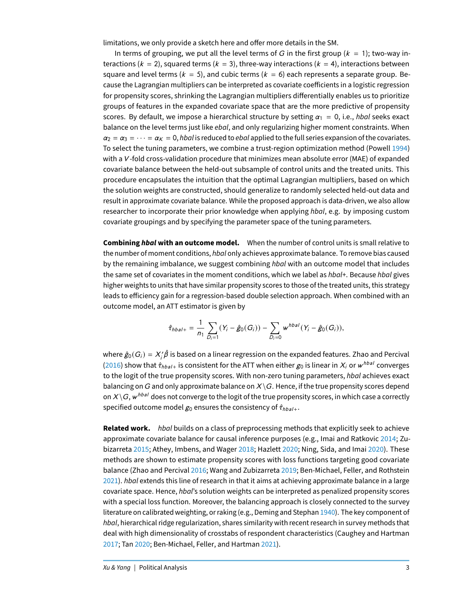limitations, we only provide a sketch here and offer more details in the SM.

In terms of grouping, we put all the level terms of G in the first group ( $k = 1$ ); two-way interactions ( $k = 2$ ), squared terms ( $k = 3$ ), three-way interactions ( $k = 4$ ), interactions between square and level terms ( $k = 5$ ), and cubic terms ( $k = 6$ ) each represents a separate group. Because the Lagrangian multipliers can be interpreted as covariate coefficients in a logistic regression for propensity scores, shrinking the Lagrangian multipliers differentially enables us to prioritize groups of features in the expanded covariate space that are the more predictive of propensity scores. By default, we impose a hierarchical structure by setting  $\alpha_1 = 0$ , i.e., hbal seeks exact balance on the level terms just like *ebal*, and only regularizing higher moment constraints. When  $\alpha_2 = \alpha_3 = \cdots = \alpha_K = 0$ , hbal is reduced to ebal applied to the full series expansion of the covariates. To select the tuning parameters, we combine a trust-region optimization method (Powell [1994\)](#page-6-1) with a V-fold cross-validation procedure that minimizes mean absolute error (MAE) of expanded covariate balance between the held-out subsample of control units and the treated units. This procedure encapsulates the intuition that the optimal Lagrangian multipliers, based on which the solution weights are constructed, should generalize to randomly selected held-out data and result in approximate covariate balance. While the proposed approach is data-driven, we also allow researcher to incorporate their prior knowledge when applying hbal, e.g. by imposing custom covariate groupings and by specifying the parameter space of the tuning parameters.

**Combining hbal with an outcome model.** When the number of control units is small relative to the number of moment conditions, hbal only achieves approximate balance. To remove bias caused by the remaining imbalance, we suggest combining hbal with an outcome model that includes the same set of covariates in the moment conditions, which we label as hbal+. Because hbal gives higher weights to units that have similar propensity scores to those of the treated units, this strategy leads to efficiency gain for a regression-based double selection approach. When combined with an outcome model, an ATT estimator is given by

$$
\hat{\tau}_{hbal+} = \frac{1}{n_1} \sum_{D_i=1} (Y_i - \hat{g}_0(G_i)) - \sum_{D_i=0} w^{hbal}(Y_i - \hat{g}_0(G_i)),
$$

where  $\hat{g}_0(G_i)=X_i'\hat{\beta}$  is based on a linear regression on the expanded features. Zhao and Percival [\(2016\)](#page-7-0) show that  $\hat{\tau}_{hbal+}$  is consistent for the ATT when either  $g_0$  is linear in  $X_i$  or  $w^{bbal}$  converges to the logit of the true propensity scores. With non-zero tuning parameters, hbal achieves exact balancing on G and only approximate balance on  $X \setminus G$ . Hence, if the true propensity scores depend on  $X\backslash G$ , w $^{hbal}$  does not converge to the logit of the true propensity scores, in which case a correctly specified outcome model  $g_0$  ensures the consistency of  $\hat{\tau}_{hbal+}$ .

**Related work.** hbal builds on a class of preprocessing methods that explicitly seek to achieve approximate covariate balance for causal inference purposes (e.g., Imai and Ratkovic [2014;](#page-6-2) Zubizarreta [2015;](#page-7-1) Athey, Imbens, and Wager [2018;](#page-6-3) Hazlett [2020;](#page-6-4) Ning, Sida, and Imai [2020\)](#page-6-5). These methods are shown to estimate propensity scores with loss functions targeting good covariate balance (Zhao and Percival [2016;](#page-7-0) Wang and Zubizarreta [2019;](#page-7-2) Ben-Michael, Feller, and Rothstein [2021\)](#page-6-6). hbal extends this line of research in that it aims at achieving approximate balance in a large covariate space. Hence, hbal's solution weights can be interpreted as penalized propensity scores with a special loss function. Moreover, the balancing approach is closely connected to the survey literature on calibrated weighting, or raking (e.g., Deming and Stephan [1940\)](#page-6-7). The key component of hbal, hierarchical ridge regularization, shares similarity with recent research in survey methods that deal with high dimensionality of crosstabs of respondent characteristics (Caughey and Hartman [2017;](#page-6-8) Tan [2020;](#page-6-9) Ben-Michael, Feller, and Hartman [2021\)](#page-6-10).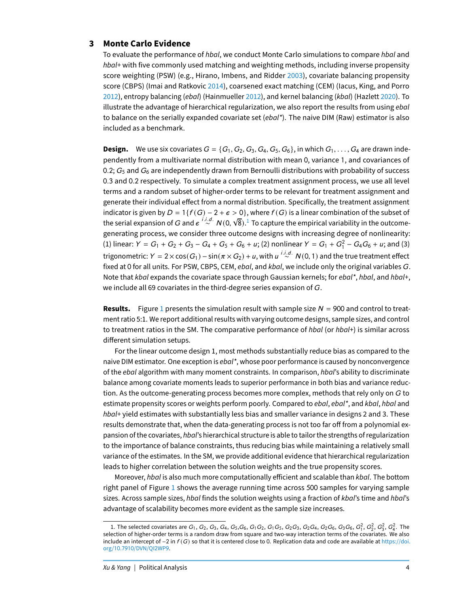## **3 Monte Carlo Evidence**

To evaluate the performance of hbal, we conduct Monte Carlo simulations to compare hbal and hbal+ with five commonly used matching and weighting methods, including inverse propensity score weighting (PSW) (e.g., Hirano, Imbens, and Ridder [2003\)](#page-6-11), covariate balancing propensity score (CBPS) (Imai and Ratkovic [2014\)](#page-6-2), coarsened exact matching (CEM) (Iacus, King, and Porro [2012\)](#page-6-0), entropy balancing (ebal) (Hainmueller 2012), and kernel balancing (kbal) (Hazlett [2020\)](#page-6-4). To illustrate the advantage of hierarchical regularization, we also report the results from using *ebal* to balance on the serially expanded covariate set  $(eba<sup>t</sup>)$ . The naive DIM (Raw) estimator is also included as a benchmark.

**Design.** We use six covariates  $G = \{G_1, G_2, G_3, G_4, G_5, G_6\}$ , in which  $G_1, \ldots, G_4$  are drawn independently from a multivariate normal distribution with mean 0, variance 1, and covariances of 0.2;  $G_5$  and  $G_6$  are independently drawn from Bernoulli distributions with probability of success <sup>0</sup>.<sup>3</sup> and <sup>0</sup>.<sup>2</sup> respectively. To simulate a complex treatment assignment process, we use all level terms and a random subset of higher-order terms to be relevant for treatment assignment and generate their individual effect from a normal distribution. Specifically, the treatment assignment indicator is given by  $D = 1\{f(G) - 2 + \epsilon > 0\}$ , where  $f(G)$  is a linear combination of the subset of the serial expansion of G and  $\epsilon \stackrel{i.i.d.}{\sim} N(0, \epsilon)$ √  $\overline{8}$ ). $^1$  $^1$  To capture the empirical variability in the outcomegenerating process, we consider three outcome designs with increasing degree of nonlinearity: (1) linear:  $Y = G_1 + G_2 + G_3 - G_4 + G_5 + G_6 + u$ ; (2) nonlinear  $Y = G_1 + G_1^2 - G_4G_6 + u$ ; and (3) trigonometric:  $Y = 2 \times \cos(G_1) - \sin(\pi \times G_2) + u$ , with  $u \stackrel{i.i.d.}{\sim} N(0, 1)$  and the true treatment effect<br>fixed at 0 fax all units. Fax BSW, GBBS, GEM, about and that we include apply the original variables C fixed at 0 for all units. For PSW, CBPS, CEM, ebal, and kbal, we include only the original variables G. Note that kbal expands the covariate space through Gaussian kernels; for ebal\*, hbal, and hbal+, we include all 69 covariates in the third-degree series expansion of  $G$ .

**Results.** Figure [1](#page-4-0) presents the simulation result with sample size  $N = 900$  and control to treatment ratio 5:1. We report additional results with varying outcome designs, sample sizes, and control to treatment ratios in the SM. The comparative performance of  $hba$  (or  $hba$ ) is similar across different simulation setups.

For the linear outcome design 1, most methods substantially reduce bias as compared to the naive DIM estimator. One exception is  $ebal^*$ , whose poor performance is caused by nonconvergence of the ebal algorithm with many moment constraints. In comparison, hbal's ability to discriminate balance among covariate moments leads to superior performance in both bias and variance reduction. As the outcome-generating process becomes more complex, methods that rely only on  $G$  to estimate propensity scores or weights perform poorly. Compared to ebal, ebal\*, and kbal, hbal and hbal<sup>+</sup> yield estimates with substantially less bias and smaller variance in designs 2 and 3. These results demonstrate that, when the data-generating process is not too far off from a polynomial expansion of the covariates, hbal's hierarchical structure is able to tailor the strengths of regularization to the importance of balance constraints, thus reducing bias while maintaining a relatively small variance of the estimates. In the SM, we provide additional evidence that hierarchical regularization leads to higher correlation between the solution weights and the true propensity scores.

Moreover, *hbal* is also much more computationally efficient and scalable than *kbal*. The bottom right panel of Figure [1](#page-4-0) shows the average running time across 500 samples for varying sample sizes. Across sample sizes, hbal finds the solution weights using a fraction of kbal's time and hbal's advantage of scalability becomes more evident as the sample size increases.

<span id="page-3-0"></span><sup>1.</sup> The selected covariates are  $G_1$ ,  $G_2$ ,  $G_3$ ,  $G_4$ ,  $G_5$ ,  $G_6$ ,  $G_1G_2$ ,  $G_1G_5$ ,  $G_2G_3$ ,  $G_2G_4$ ,  $G_2G_6$ ,  $G_3G_6$ ,  $G_1^2$ ,  $G_2^2$ ,  $G_3^2$ ,  $G_4^2$ . The selection of higher-order terms is a random draw from square and two-way interaction terms of the covariates. We also include an intercept of  $-2$  in  $f(G)$  so that it is centered close to 0. Replication data and code are available at [https://doi.](https://doi.org/10.7910/DVN/QI2WP9) org/10.7910[/DVN/QI](https://doi.org/10.7910/DVN/QI2WP9)2WP9.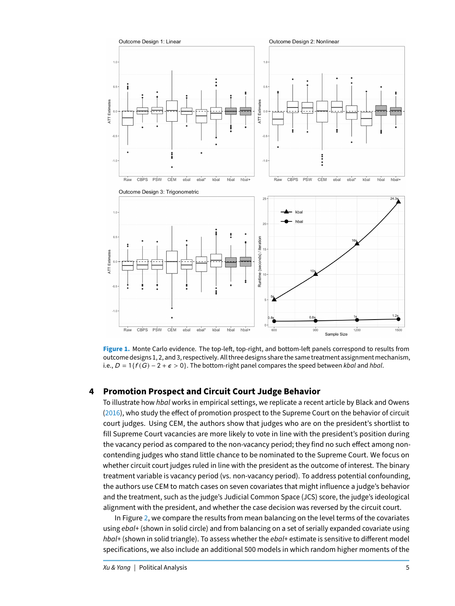<span id="page-4-0"></span>

Figure 1. Monte Carlo evidence. The top-left, top-right, and bottom-left panels correspond to results from outcome designs 1, 2, and 3, respectively. All three designs share the same treatment assignment mechanism, i.e.,  $D = 1\{f(G) - 2 + \epsilon > 0\}$ . The bottom-right panel compares the speed between kbal and hbal.

# **4 Promotion Prospect and Circuit Court Judge Behavior**

To illustrate how hbal works in empirical settings, we replicate a recent article by Black and Owens [\(2016\)](#page-6-13), who study the effect of promotion prospect to the Supreme Court on the behavior of circuit court judges. Using CEM, the authors show that judges who are on the president's shortlist to fill Supreme Court vacancies are more likely to vote in line with the president's position during the vacancy period as compared to the non-vacancy period; they find no such effect among noncontending judges who stand little chance to be nominated to the Supreme Court. We focus on whether circuit court judges ruled in line with the president as the outcome of interest. The binary treatment variable is vacancy period (vs. non-vacancy period). To address potential confounding, the authors use CEM to match cases on seven covariates that might influence a judge's behavior and the treatment, such as the judge's Judicial Common Space (JCS) score, the judge's ideological alignment with the president, and whether the case decision was reversed by the circuit court.

In Figure [2,](#page-5-0) we compare the results from mean balancing on the level terms of the covariates using ebal+ (shown in solid circle) and from balancing on a set of serially expanded covariate using hbal+ (shown in solid triangle). To assess whether the ebal+ estimate is sensitive to different model specifications, we also include an additional 500 models in which random higher moments of the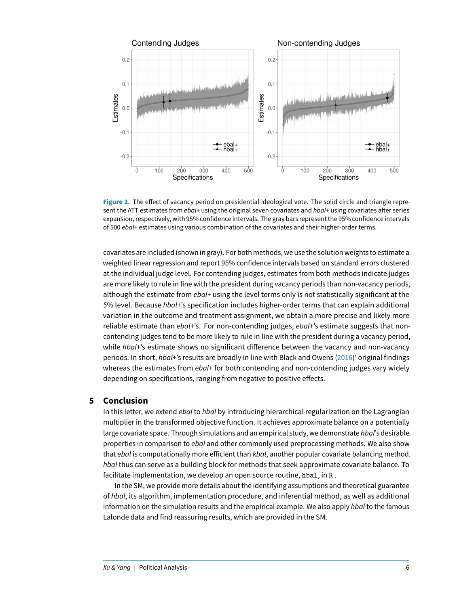<span id="page-5-0"></span>

Figure 2. The effect of vacancy period on presidential ideological vote. The solid circle and triangle represent the ATT estimates from ebal+ using the original seven covariates and hbal+ using covariates after series expansion, respectively, with 95% confidence intervals. The gray bars represent the 95% confidence intervals of 500 ebal+ estimates using various combination of the covariates and their higher-order terms.

covariates are included (shown in gray). For both methods, we use the solution weights to estimate a weighted linear regression and report 95% confidence intervals based on standard errors clustered at the individual judge level. For contending judges, estimates from both methods indicate judges are more likely to rule in line with the president during vacancy periods than non-vacancy periods, although the estimate from ebal+ using the level terms only is not statistically significant at the 5% level. Because hbal+'s specification includes higher-order terms that can explain additional variation in the outcome and treatment assignment, we obtain a more precise and likely more reliable estimate than ebal+'s. For non-contending judges, ebal+'s estimate suggests that noncontending judges tend to be more likely to rule in line with the president during a vacancy period, while  $hbaI+$ 's estimate shows no significant difference between the vacancy and non-vacancy periods. In short, hbal+'s results are broadly in line with Black and Owens [\(2016\)](#page-6-13)' original findings whereas the estimates from  $ebal+$  for both contending and non-contending judges vary widely depending on specifications, ranging from negative to positive effects.

### **5 Conclusion**

In this letter, we extend ebal to hbal by introducing hierarchical regularization on the Lagrangian multiplier in the transformed objective function. It achieves approximate balance on a potentially large covariate space. Through simulations and an empirical study, we demonstrate hbal's desirable properties in comparison to *ebal* and other commonly used preprocessing methods. We also show that ebal is computationally more efficient than kbal, another popular covariate balancing method. hbal thus can serve as a building block for methods that seek approximate covariate balance. To facilitate implementation, we develop an open source routine, hbal, in R .

In the SM, we provide more details about the identifying assumptions and theoretical guarantee of hbal, its algorithm, implementation procedure, and inferential method, as well as additional information on the simulation results and the empirical example. We also apply *hbal* to the famous Lalonde data and find reassuring results, which are provided in the SM.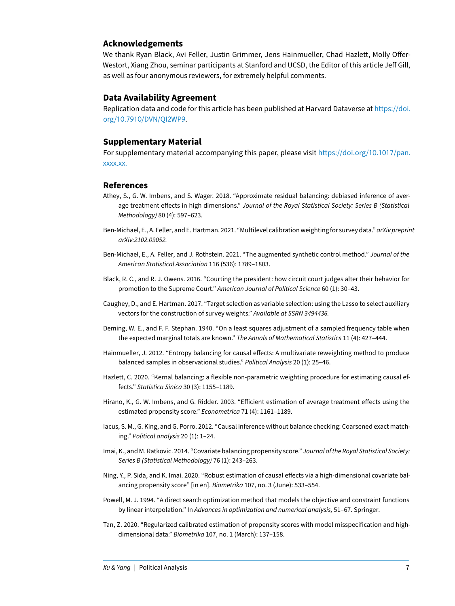# **Acknowledgements**

We thank Ryan Black, Avi Feller, Justin Grimmer, Jens Hainmueller, Chad Hazlett, Molly Offer-Westort, Xiang Zhou, seminar participants at Stanford and UCSD, the Editor of this article Jeff Gill, as well as four anonymous reviewers, for extremely helpful comments.

# **Data Availability Agreement**

Replication data and code for this article has been published at Harvard Dataverse at [https://doi.](https://doi.org/10.7910/DVN/QI2WP9) org/10.7910[/DVN/QI](https://doi.org/10.7910/DVN/QI2WP9)2WP9.

#### **Supplementary Material**

For supplementary material accompanying this paper, please visit [https://doi.org/](https://doi.org/10.1017/pan.xxxx.xx.)10.1017/pan. [xxxx.xx.](https://doi.org/10.1017/pan.xxxx.xx.)

#### **References**

- <span id="page-6-3"></span>Athey, S., G. W. Imbens, and S. Wager. 2018. "Approximate residual balancing: debiased inference of average treatment effects in high dimensions." Journal of the Royal Statistical Society: Series B (Statistical Methodology) 80 (4): 597–623.
- <span id="page-6-10"></span>Ben-Michael, E., A. Feller, and E. Hartman. 2021. "Multilevel calibration weighting for survey data." arXiv preprint arXiv:2102.09052.
- <span id="page-6-6"></span>Ben-Michael, E., A. Feller, and J. Rothstein. 2021. "The augmented synthetic control method." Journal of the American Statistical Association 116 (536): 1789–1803.
- <span id="page-6-13"></span>Black, R. C., and R. J. Owens. 2016. "Courting the president: how circuit court judges alter their behavior for promotion to the Supreme Court." American Journal of Political Science 60 (1): 30–43.
- <span id="page-6-8"></span>Caughey, D., and E. Hartman. 2017. "Target selection as variable selection: using the Lasso to select auxiliary vectors for the construction of survey weights." Available at SSRN 3494436.
- <span id="page-6-7"></span>Deming, W. E., and F. F. Stephan. 1940. "On a least squares adjustment of a sampled frequency table when the expected marginal totals are known." The Annals of Mathematical Statistics 11 (4): 427–444.
- <span id="page-6-0"></span>Hainmueller, J. 2012. "Entropy balancing for causal effects: A multivariate reweighting method to produce balanced samples in observational studies." Political Analysis 20 (1): 25–46.
- <span id="page-6-4"></span>Hazlett, C. 2020. "Kernal balancing: a flexible non-parametric weighting procedure for estimating causal effects." Statistica Sinica 30 (3): 1155–1189.
- <span id="page-6-11"></span>Hirano, K., G. W. Imbens, and G. Ridder. 2003. "Efficient estimation of average treatment effects using the estimated propensity score." Econometrica 71 (4): 1161–1189.
- <span id="page-6-12"></span>Iacus, S. M., G. King, and G. Porro. 2012. "Causal inference without balance checking: Coarsened exact matching." Political analysis 20 (1): 1–24.
- <span id="page-6-2"></span>Imai, K., and M. Ratkovic. 2014. "Covariate balancing propensity score." Journal of the Royal Statistical Society: Series B (Statistical Methodology) 76 (1): 243–263.
- <span id="page-6-5"></span>Ning, Y., P. Sida, and K. Imai. 2020. "Robust estimation of causal effects via a high-dimensional covariate balancing propensity score" [in en]. Biometrika 107, no. 3 (June): 533–554.
- <span id="page-6-1"></span>Powell, M. J. 1994. "A direct search optimization method that models the objective and constraint functions by linear interpolation." In Advances in optimization and numerical analysis, 51–67. Springer.
- <span id="page-6-9"></span>Tan, Z. 2020. "Regularized calibrated estimation of propensity scores with model misspecification and highdimensional data." Biometrika 107, no. 1 (March): 137–158.